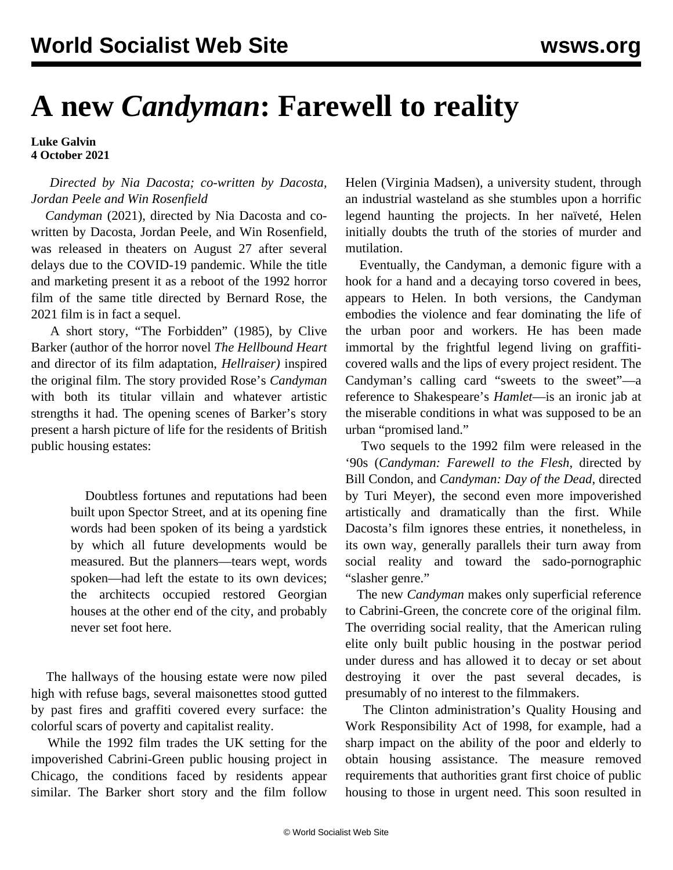## **A new** *Candyman***: Farewell to reality**

**Luke Galvin 4 October 2021**

 *Directed by Nia Dacosta; co-written by Dacosta, Jordan Peele and Win Rosenfield*

 *Candyman* (2021), directed by Nia Dacosta and cowritten by Dacosta, Jordan Peele, and Win Rosenfield, was released in theaters on August 27 after several delays due to the COVID-19 pandemic. While the title and marketing present it as a reboot of the 1992 horror film of the same title directed by Bernard Rose, the 2021 film is in fact a sequel.

 A short story, "The Forbidden" (1985), by Clive Barker (author of the horror novel *The Hellbound Heart* and director of its film adaptation, *Hellraiser)* inspired the original film. The story provided Rose's *Candyman* with both its titular villain and whatever artistic strengths it had. The opening scenes of Barker's story present a harsh picture of life for the residents of British public housing estates:

> Doubtless fortunes and reputations had been built upon Spector Street, and at its opening fine words had been spoken of its being a yardstick by which all future developments would be measured. But the planners—tears wept, words spoken—had left the estate to its own devices; the architects occupied restored Georgian houses at the other end of the city, and probably never set foot here.

 The hallways of the housing estate were now piled high with refuse bags, several maisonettes stood gutted by past fires and graffiti covered every surface: the colorful scars of poverty and capitalist reality.

 While the 1992 film trades the UK setting for the impoverished Cabrini-Green public housing project in Chicago, the conditions faced by residents appear similar. The Barker short story and the film follow Helen (Virginia Madsen), a university student, through an industrial wasteland as she stumbles upon a horrific legend haunting the projects. In her naïveté, Helen initially doubts the truth of the stories of murder and mutilation.

 Eventually, the Candyman, a demonic figure with a hook for a hand and a decaying torso covered in bees, appears to Helen. In both versions, the Candyman embodies the violence and fear dominating the life of the urban poor and workers. He has been made immortal by the frightful legend living on graffiticovered walls and the lips of every project resident. The Candyman's calling card "sweets to the sweet"—a reference to Shakespeare's *Hamlet*—is an ironic jab at the miserable conditions in what was supposed to be an urban "promised land."

 Two sequels to the 1992 film were released in the '90s (*Candyman: Farewell to the Flesh*, directed by Bill Condon, and *Candyman: Day of the Dead*, directed by Turi Meyer), the second even more impoverished artistically and dramatically than the first. While Dacosta's film ignores these entries, it nonetheless, in its own way, generally parallels their turn away from social reality and toward the sado-pornographic "slasher genre."

 The new *Candyman* makes only superficial reference to Cabrini-Green, the concrete core of the original film. The overriding social reality, that the American ruling elite only built public housing in the postwar period under duress and has allowed it to decay or set about destroying it over the past several decades, is presumably of no interest to the filmmakers.

 The Clinton administration's Quality Housing and Work Responsibility Act of 1998, for example, had a sharp impact on the ability of the poor and elderly to obtain housing assistance. The measure removed requirements that authorities grant first choice of public housing to those in urgent need. This soon resulted in